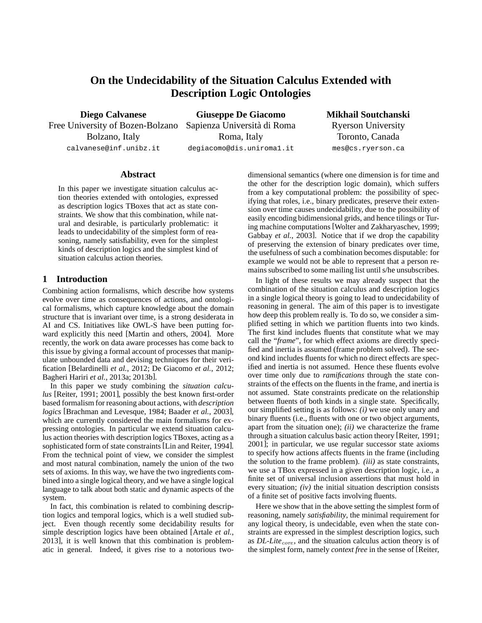# **On the Undecidability of the Situation Calculus Extended with Description Logic Ontologies**

**Diego Calvanese** Free University of Bozen-Bolzano Bolzano, Italy calvanese@inf.unibz.it

**Giuseppe De Giacomo** Sapienza Università di Roma Roma, Italy degiacomo@dis.uniroma1.it

**Mikhail Soutchanski** Ryerson University Toronto, Canada mes@cs.ryerson.ca

# **Abstract**

In this paper we investigate situation calculus action theories extended with ontologies, expressed as description logics TBoxes that act as state constraints. We show that this combination, while natural and desirable, is particularly problematic: it leads to undecidability of the simplest form of reasoning, namely satisfiability, even for the simplest kinds of description logics and the simplest kind of situation calculus action theories.

#### **1 Introduction**

Combining action formalisms, which describe how systems evolve over time as consequences of actions, and ontological formalisms, which capture knowledge about the domain structure that is invariant over time, is a strong desiderata in AI and CS. Initiatives like OWL-S have been putting forward explicitly this need [Martin and others, 2004]. More recently, the work on data aware processes has come back to this issue by giving a formal account of processes that manipulate unbounded data and devising techniques for their verification [Belardinelli *et al.*, 2012; De Giacomo *et al.*, 2012; Bagheri Hariri *et al.*, 2013a; 2013b].

In this paper we study combining the *situation calculus* [Reiter, 1991; 2001], possibly the best known first-order based formalism for reasoning about actions, with *description logics* [Brachman and Levesque, 1984; Baader *et al.*, 2003], which are currently considered the main formalisms for expressing ontologies. In particular we extend situation calculus action theories with description logics TBoxes, acting as a sophisticated form of state constraints [Lin and Reiter, 1994]. From the technical point of view, we consider the simplest and most natural combination, namely the union of the two sets of axioms. In this way, we have the two ingredients combined into a single logical theory, and we have a single logical language to talk about both static and dynamic aspects of the system.

In fact, this combination is related to combining description logics and temporal logics, which is a well studied subject. Even though recently some decidability results for simple description logics have been obtained [Artale *et al.*, 2013], it is well known that this combination is problematic in general. Indeed, it gives rise to a notorious twodimensional semantics (where one dimension is for time and the other for the description logic domain), which suffers from a key computational problem: the possibility of specifying that roles, i.e., binary predicates, preserve their extension over time causes undecidability, due to the possibility of easily encoding bidimensional grids, and hence tilings or Turing machine computations [Wolter and Zakharyaschev, 1999; Gabbay *et al.*, 2003]. Notice that if we drop the capability of preserving the extension of binary predicates over time, the usefulness of such a combination becomes disputable: for example we would not be able to represent that a person remains subscribed to some mailing list until s/he unsubscribes.

In light of these results we may already suspect that the combination of the situation calculus and description logics in a single logical theory is going to lead to undecidability of reasoning in general. The aim of this paper is to investigate how deep this problem really is. To do so, we consider a simplified setting in which we partition fluents into two kinds. The first kind includes fluents that constitute what we may call the "*frame*", for which effect axioms are directly specified and inertia is assumed (frame problem solved). The second kind includes fluents for which no direct effects are specified and inertia is not assumed. Hence these fluents evolve over time only due to *ramifications* through the state constraints of the effects on the fluents in the frame, and inertia is not assumed. State constraints predicate on the relationship between fluents of both kinds in a single state. Specifically, our simplified setting is as follows: *(i)* we use only unary and binary fluents (i.e., fluents with one or two object arguments, apart from the situation one); *(ii)* we characterize the frame through a situation calculus basic action theory [Reiter, 1991; 2001]; in particular, we use regular successor state axioms to specify how actions affects fluents in the frame (including the solution to the frame problem). *(iii)* as state constraints, we use a TBox expressed in a given description logic, i.e., a finite set of universal inclusion assertions that must hold in every situation; *(iv)* the initial situation description consists of a finite set of positive facts involving fluents.

Here we show that in the above setting the simplest form of reasoning, namely *satisfiability*, the minimal requirement for any logical theory, is undecidable, even when the state constraints are expressed in the simplest description logics, such as *DL-Lite<sub>core</sub>*, and the situation calculus action theory is of the simplest form, namely *context free* in the sense of [Reiter,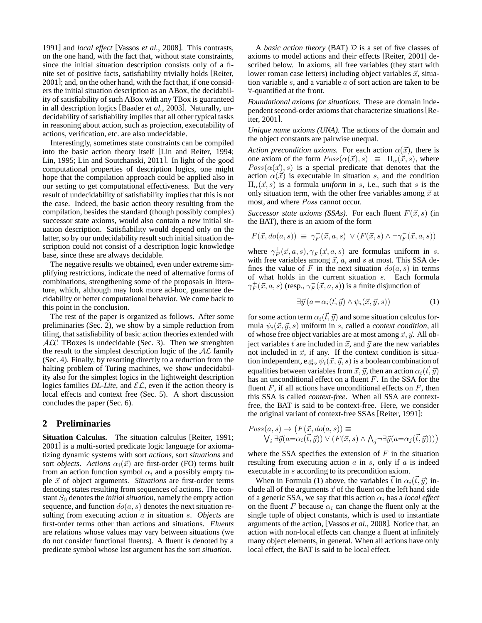1991] and *local effect* [Vassos *et al.*, 2008]. This contrasts, on the one hand, with the fact that, without state constraints, since the initial situation description consists only of a finite set of positive facts, satisfiability trivially holds [Reiter, 2001]; and, on the other hand, with the fact that, if one considers the initial situation description as an ABox, the decidability of satisfiability of such ABox with any TBox is guaranteed in all description logics [Baader *et al.*, 2003]. Naturally, undecidability of satisfiability implies that all other typical tasks in reasoning about action, such as projection, executability of actions, verification, etc. are also undecidable.

Interestingly, sometimes state constraints can be compiled into the basic action theory itself [Lin and Reiter, 1994; Lin, 1995; Lin and Soutchanski, 2011]. In light of the good computational properties of description logics, one might hope that the compilation approach could be applied also in our setting to get computational effectiveness. But the very result of undecidability of satisfiability implies that this is not the case. Indeed, the basic action theory resulting from the compilation, besides the standard (though possibly complex) successor state axioms, would also contain a new initial situation description. Satisfiability would depend only on the latter, so by our undecidability result such initial situation description could not consist of a description logic knowledge base, since these are always decidable.

The negative results we obtained, even under extreme simplifying restrictions, indicate the need of alternative forms of combinations, strengthening some of the proposals in literature, which, although may look more ad-hoc, guarantee decidability or better computational behavior. We come back to this point in the conclusion.

The rest of the paper is organized as follows. After some preliminaries (Sec. 2), we show by a simple reduction from tiling, that satisfiability of basic action theories extended with ALC TBoxes is undecidable (Sec. 3). Then we strenghten the result to the simplest description logic of the  $AL$  family (Sec. 4). Finally, by resorting directly to a reduction from the halting problem of Turing machines, we show undecidability also for the simplest logics in the lightweight description logics families  $DL\text{-}Like$ , and  $\mathcal{EL}$ , even if the action theory is local effects and context free (Sec. 5). A short discussion concludes the paper (Sec. 6).

## **2 Preliminaries**

**Situation Calculus.** The situation calculus [Reiter, 1991; 2001] is a multi-sorted predicate logic language for axiomatizing dynamic systems with sort *actions*, sort *situations* and sort *objects*. *Actions*  $\alpha_i(\vec{x})$  are first-order (FO) terms built from an action function symbol  $\alpha_i$  and a possibly empty tuple  $\vec{x}$  of object arguments. *Situations* are first-order terms denoting states resulting from sequences of actions. The constant  $S_0$  denotes the *initial situation*, namely the empty action sequence, and function  $do(a, s)$  denotes the next situation resulting from executing action a in situation s. *Objects* are first-order terms other than actions and situations. *Fluents* are relations whose values may vary between situations (we do not consider functional fluents). A fluent is denoted by a predicate symbol whose last argument has the sort *situation*.

A *basic action theory* (BAT) D is a set of five classes of axioms to model actions and their effects [Reiter, 2001] described below. In axioms, all free variables (they start with lower roman case letters) including object variables  $\vec{x}$ , situation variable  $s$ , and a variable  $a$  of sort action are taken to be ∀-quantified at the front.

*Foundational axioms for situations.* These are domain independent second-order axioms that characterize situations[Reiter, 2001].

*Unique name axioms (UNA).* The actions of the domain and the object constants are pairwise unequal.

*Action precondition axioms.* For each action  $\alpha(\vec{x})$ , there is one axiom of the form  $Poss(\alpha(\vec{x}), s) \equiv \Pi_{\alpha}(\vec{x}, s)$ , where  $Poss(\alpha(\vec{x}), s)$  is a special predicate that denotes that the action  $\alpha(\vec{x})$  is executable in situation s, and the condition  $\Pi_{\alpha}(\vec{x}, s)$  is a formula *uniform* in s, i.e., such that s is the only situation term, with the other free variables among  $\vec{x}$  at most, and where Poss cannot occur.

*Successor state axioms (SSAs).* For each fluent  $F(\vec{x}, s)$  (in the BAT), there is an axiom of the form

$$
F(\vec{x}, do(a, s)) \equiv \gamma_F^+(\vec{x}, a, s) \lor (F(\vec{x}, s) \land \neg \gamma_F^-(\vec{x}, a, s))
$$

where  $\gamma_F^+(\vec{x}, a, s), \gamma_F^-(\vec{x}, a, s)$  are formulas uniform in s. with free variables among  $\vec{x}$ ,  $\vec{a}$ , and  $\vec{s}$  at most. This SSA defines the value of F in the next situation  $do(a, s)$  in terms of what holds in the current situation s. Each formula  $\gamma_F^+(\vec{x}, a, s)$  (resp.,  $\gamma_F^-(\vec{x}, a, s)$ ) is a finite disjunction of

$$
\exists \vec{y} \left( a = \alpha_i(\vec{t}, \vec{y}) \land \psi_i(\vec{x}, \vec{y}, s) \right) \tag{1}
$$

for some action term  $\alpha_i(\vec{t}, \vec{y})$  and some situation calculus formula  $\psi_i(\vec{x}, \vec{y}, s)$  uniform in s, called a *context condition*, all of whose free object variables are at most among  $\vec{x}, \vec{y}$ . All object variables  $\vec{t}$  are included in  $\vec{x}$ , and  $\vec{y}$  are the new variables not included in  $\vec{x}$ , if any. If the context condition is situation independent, e.g.,  $\psi_i(\vec{x}, \vec{y}, s)$  is a boolean combination of equalities between variables from  $\vec{x}, \vec{y}$ , then an action  $\alpha_i(\vec{t}, \vec{y})$ has an unconditional effect on a fluent F. In the SSA for the fluent  $F$ , if all actions have unconditional effects on  $F$ , then this SSA is called *context-free*. When all SSA are contextfree, the BAT is said to be context-free. Here, we consider the original variant of context-free SSAs [Reiter, 1991]:

$$
Poss(a, s) \rightarrow (F(\vec{x}, do(a, s)) \equiv
$$
  

$$
\bigvee_i \exists \vec{y}(a = \alpha_i(\vec{t}, \vec{y})) \vee (F(\vec{x}, s) \wedge \bigwedge_j \neg \exists \vec{y}(a = \alpha_j(\vec{t}, \vec{y})))
$$

where the SSA specifies the extension of  $F$  in the situation resulting from executing action  $a$  in  $s$ , only if  $a$  is indeed executable in s according to its precondition axiom.

When in Formula (1) above, the variables  $\vec{t}$  in  $\alpha_i(\vec{t}, \vec{y})$  include all of the arguments  $\vec{x}$  of the fluent on the left hand side of a generic SSA, we say that this action  $\alpha_i$  has a *local effect* on the fluent F because  $\alpha_i$  can change the fluent only at the single tuple of object constants, which is used to instantiate arguments of the action, [Vassos *et al.*, 2008]. Notice that, an action with non-local effects can change a fluent at infinitely many object elements, in general. When all actions have only local effect, the BAT is said to be local effect.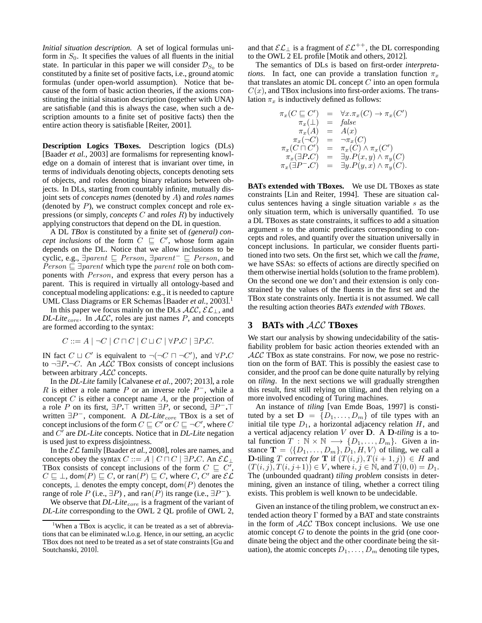*Initial situation description.* A set of logical formulas uniform in  $S_0$ . It specifies the values of all fluents in the initial state. In particular in this paper we will consider  $\mathcal{D}_{S_0}$  to be constituted by a finite set of positive facts, i.e., ground atomic formulas (under open-world assumption). Notice that because of the form of basic action theories, if the axioms constituting the initial situation description (together with UNA) are satisfiable (and this is always the case, when such a description amounts to a finite set of positive facts) then the entire action theory is satisfiable [Reiter, 2001].

**Description Logics TBoxes.** Description logics (DLs) [Baader *et al.*, 2003] are formalisms for representing knowledge on a domain of interest that is invariant over time, in terms of individuals denoting objects, concepts denoting sets of objects, and roles denoting binary relations between objects. In DLs, starting from countably infinite, mutually disjoint sets of *concepts names* (denoted by A) and *roles names* (denoted by  $P$ ), we construct complex concept and role expressions (or simply, *concepts* C and *roles* R) by inductively applying constructors that depend on the DL in question.

A DL *TBox* is constituted by a finite set of *(general) concept inclusions* of the form  $C \subseteq C'$ , whose form again depends on the DL. Notice that we allow inclusions to be cyclic, e.g.,  $\exists parent \sqsubseteq Person$ ,  $\exists parent^{-} \sqsubseteq Person$ , and  $Person \sqsubseteq \exists parent$  which type the parent role on both components with Person, and express that every person has a parent. This is required in virtually all ontology-based and conceptual modeling applications: e.g., it is needed to capture UML Class Diagrams or ER Schemas [Baader *et al.*, 2003]. 1

In this paper we focus mainly on the DLs  $ALC$ ,  $\mathcal{EL}_\perp$ , and  $DL\text{-}Life_{core}$ . In  $ALC$ , roles are just names P, and concepts are formed according to the syntax:

$$
C ::= A \mid \neg C \mid C \sqcap C \mid C \sqcup C \mid \forall P.C \mid \exists P.C.
$$

IN fact  $C \sqcup C'$  is equivalent to  $\neg(\neg C \sqcap \neg C')$ , and  $\forall P.C$ to ¬∃P**.**¬C. An ALC TBox consists of concept inclusions between arbitrary ALC concepts.

In the *DL-Lite* family [Calvanese *et al.*, 2007; 2013], a role R is either a role name P or an inverse role  $P^-$ , while a concept  $C$  is either a concept name  $A$ , or the projection of a role P on its first, ∃P**.**⊤ written ∃P, or second, ∃P <sup>−</sup>**.**⊤ written ∃P<sup>-</sup>, component. A *DL-Lite*<sub>core</sub> TBox is a set of concept inclusions of the form  $C \sqsubseteq C'$  or  $C \sqsubseteq \neg C'$ , where  $C$ and C ′ are *DL-Lite* concepts. Notice that in *DL-Lite* negation is used just to express disjointness.

In the EL family [Baader *et al.*, 2008], roles are names, and concepts obey the syntax  $C ::= A \mid C \sqcap C \mid \exists P.C.$  An  $\mathcal{EL}_\perp$ TBox consists of concept inclusions of the form  $C \subseteq C'$ ,  $C \sqsubseteq \bot$ , dom $(P) \sqsubseteq C$ , or ran $(P) \sqsubseteq C$ , where  $C, C'$  are  $\mathcal{EL}$ concepts,  $\perp$  denotes the empty concept, dom(P) denotes the range of role P (i.e.,  $\exists P$ ), and ran( $\overline{P}$ ) its range (i.e.,  $\exists P^-$ ).

We observe that *DL-Lite*<sub>core</sub> is a fragment of the variant of *DL-Lite* corresponding to the OWL 2 QL profile of OWL 2, and that  $\mathcal{EL}_{\perp}$  is a fragment of  $\mathcal{EL}^{++}$ , the DL corresponding to the OWL 2 EL profile [Motik and others, 2012].

The semantics of DLs is based on first-order *interpretations*. In fact, one can provide a translation function  $\pi_x$ that translates an atomic DL concept  $C$  into an open formula  $C(x)$ , and TBox inclusions into first-order axioms. The translation  $\pi_x$  is inductively defined as follows:

$$
\pi_x(C \sqsubseteq C') = \forall x. \pi_x(C) \rightarrow \pi_x(C')
$$
\n
$$
\pi_x(\bot) = false
$$
\n
$$
\pi_x(A) = A(x)
$$
\n
$$
\pi_x(\neg C) = \neg \pi_x(C)
$$
\n
$$
\pi_x(C \sqcap C') = \pi_x(C) \land \pi_x(C')
$$
\n
$$
\pi_x(\exists P.C) = \exists y. P(x, y) \land \pi_y(C)
$$
\n
$$
\pi_x(\exists P-C) = \exists y. P(y, x) \land \pi_y(C).
$$

**BATs extended with TBoxes.** We use DL TBoxes as state constraints [Lin and Reiter, 1994]. These are situation calculus sentences having a single situation variable s as the only situation term, which is universally quantified. To use a DL TBoxes as state constraints, it suffices to add a situation argument s to the atomic predicates corresponding to concepts and roles, and quantify over the situation universally in concept inclusions. In particular, we consider fluents partitioned into two sets. On the first set, which we call the *frame*, we have SSAs: so effects of actions are directly specified on them otherwise inertial holds (solution to the frame problem). On the second one we don't and their extension is only constrained by the values of the fluents in the first set and the TBox state constraints only. Inertia it is not assumed. We call the resulting action theories *BATs extended with TBoxes*.

#### **3 BATs with** ALC **TBoxes**

We start our analysis by showing undecidability of the satisfiability problem for basic action theories extended with an ALC TBox as state constrains. For now, we pose no restriction on the form of BAT. This is possibly the easiest case to consider, and the proof can be done quite naturally by relying on *tiling*. In the next sections we will gradually strengthen this result, first still relying on tiling, and then relying on a more involved encoding of Turing machines.

An instance of *tiling* [van Emde Boas, 1997] is constituted by a set  $\mathbf{D} = \{D_1, \ldots, D_m\}$  of tile types with an initial tile type  $D_1$ , a horizontal adjacency relation  $H$ , and a vertical adjacency relation V over D. A D*-tiling* is a total function  $T : \mathbb{N} \times \mathbb{N} \longrightarrow \{D_1, \ldots, D_m\}$ . Given a instance  $\mathbf{T} = \langle \{D_1, \ldots, D_m\}, D_1, H, V \rangle$  of tiling, we call a **D**-tiling T *correct for* **T** if  $(T(i, j), T(i + 1, j)) \in H$  and  $(T (i, j), T (i, j+1)) \in V$ , where  $i, j \in \mathbb{N}$ , and  $T (0, 0) = D_1$ . The (unbounded quadrant) *tiling problem* consists in determining, given an instance of tiling, whether a correct tiling exists. This problem is well known to be undecidable.

Given an instance of the tiling problem, we construct an extended action theory  $\Gamma$  formed by a BAT and state constraints in the form of  $ALC$  TBox concept inclusions. We use one atomic concept  $G$  to denote the points in the grid (one coordinate being the object and the other coordinate being the situation), the atomic concepts  $D_1, \ldots, D_m$  denoting tile types,

<sup>&</sup>lt;sup>1</sup>When a TBox is acyclic, it can be treated as a set of abbreviations that can be eliminated w.l.o.g. Hence, in our setting, an acyclic TBox does not need to be treated as a set of state constraints [Gu and Soutchanski, 2010].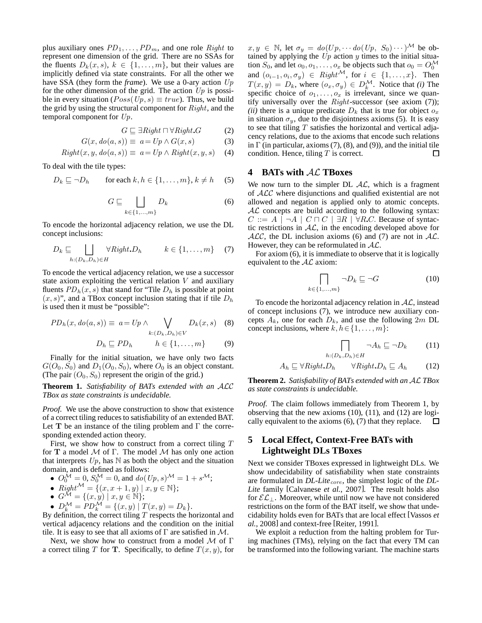plus auxiliary ones  $PD_1, \ldots, PD_m$ , and one role Right to represent one dimension of the grid. There are no SSAs for the fluents  $D_k(x, s)$ ,  $k \in \{1, \ldots, m\}$ , but their values are implicitly defined via state constraints. For all the other we have SSA (they form the *frame*). We use a 0-ary action Up for the other dimension of the grid. The action  $Up$  is possible in every situation ( $Poss(Up, s) \equiv true$ ). Thus, we build the grid by using the structural component for  $Right$ , and the temporal component for Up.

$$
G \sqsubseteq \exists Right \sqcap \forall Right \mathcal{A} \tag{2}
$$

$$
G(x, do(a, s)) \equiv a = Up \land G(x, s) \tag{3}
$$

$$
Right(x, y, do(a, s)) \equiv a = Up \land Right(x, y, s) \quad (4)
$$

To deal with the tile types:

$$
D_k \sqsubseteq \neg D_h \qquad \text{for each } k, h \in \{1, \dots, m\}, k \neq h \quad (5)
$$

$$
G \sqsubseteq \bigsqcup_{k \in \{1, \dots, m\}} D_k \tag{6}
$$

To encode the horizontal adjacency relation, we use the DL concept inclusions:

$$
D_k \sqsubseteq \bigsqcup_{h:(D_k,D_h)\in H} \forall Right.D_h \qquad k \in \{1,\ldots,m\} \quad (7)
$$

To encode the vertical adjacency relation, we use a successor state axiom exploiting the vertical relation  $V$  and auxiliary fluents  $PD_h(x, s)$  that stand for "Tile  $D_h$  is possible at point  $(x, s)$ ", and a TBox concept inclusion stating that if tile  $D<sub>h</sub>$ is used then it must be "possible":

$$
PD_h(x, do(a, s)) \equiv a = Up \land \bigvee_{k:(D_k, D_h) \in V} D_k(x, s) \quad (8)
$$

$$
D_h \sqsubseteq PD_h \qquad h \in \{1, \dots, m\} \qquad (9)
$$

Finally for the initial situation, we have only two facts  $G(O_0, S_0)$  and  $D_1(O_0, S_0)$ , where  $O_0$  is an object constant. (The pair  $(O_0, S_0)$  represent the origin of the grid.)

**Theorem 1.** *Satisfiability of BATs extended with an* ALC *TBox as state constraints is undecidable.*

*Proof.* We use the above construction to show that existence of a correct tiling reduces to satisfiability of an extended BAT. Let T be an instance of the tiling problem and  $\Gamma$  the corresponding extended action theory.

First, we show how to construct from a correct tiling  $T$ for T a model  $M$  of  $\Gamma$ . The model  $M$  has only one action that interprets  $Up$ , has  $N$  as both the object and the situation domain, and is defined as follows:

•  $O_0^{\mathcal{M}} = 0$ ,  $S_0^{\mathcal{M}} = 0$ , and  $do(Up, s)^{\mathcal{M}} = 1 + s^{\mathcal{M}}$ ;

• Right<sup>M</sup> = {
$$
(x, x+1, y) | x, y \in \mathbb{N}
$$
};

- $G^{\mathcal{M}} = \{ (x, y) \mid x, y \in \mathbb{N} \};$
- $D_k^{\mathcal{M}} = PD_k^{\mathcal{M}} = \{(x, y) | T(x, y) = D_k\}.$

By definition, the correct tiling  $T$  respects the horizontal and vertical adjacency relations and the condition on the initial tile. It is easy to see that all axioms of  $\Gamma$  are satisfied in M.

Next, we show how to construct from a model  $M$  of  $\Gamma$ a correct tiling T for T. Specifically, to define  $T(x, y)$ , for  $x, y \in \mathbb{N}$ , let  $\sigma_y = do(Up, \cdots do(Up, S_0) \cdots)^{\mathcal{M}}$  be obtained by applying the  $Up$  action y times to the initial situation  $S_0$ , and let  $o_0, o_1, \ldots, o_x$  be objects such that  $o_0 = O_0^{\mathcal{M}}$ and  $(o_{i-1}, o_i, \sigma_y) \in Right^{\mathcal{M}}$ , for  $i \in \{1, ..., x\}$ . Then  $T(x, y) = D_k$ , where  $(o_x, \sigma_y) \in D_k^{\mathcal{M}}$ . Notice that *(i)* The specific choice of  $o_1, \ldots, o_x$  is irrelevant, since we quantify universally over the  $Right$ -successor (see axiom  $(7)$ ); *(ii)* there is a unique predicate  $D_k$  that is true for object  $o_x$ in situation  $\sigma_y$ , due to the disjointness axioms (5). It is easy to see that tiling  $T$  satisfies the horizontal and vertical adjacency relations, due to the axioms that encode such relations in  $\Gamma$  (in particular, axioms (7), (8), and (9)), and the initial tile condition. Hence, tiling  $T$  is correct.  $\Box$ 

#### **4 BATs with** AL **TBoxes**

We now turn to the simpler DL  $AL$ , which is a fragment of ALC where disjunctions and qualified existential are not allowed and negation is applied only to atomic concepts.  $AL$  concepts are build according to the following syntax:  $C ::= A \mid \neg A \mid C \sqcap C \mid \exists R \mid \forall R.C.$  Because of syntactic restrictions in  $AL$ , in the encoding developed above for  $ALC$ , the DL inclusion axioms (6) and (7) are not in AL. However, they can be reformulated in  $AL$ .

For axiom (6), it is immediate to observe that it is logically equivalent to the  $AL$  axiom:

$$
\bigcap_{k \in \{1, \dots, m\}} \neg D_k \sqsubseteq \neg G \tag{10}
$$

To encode the horizontal adjacency relation in  $AL$ , instead of concept inclusions (7), we introduce new auxiliary concepts  $A_k$ , one for each  $D_k$ , and use the following  $2m$  DL concept inclusions, where  $k, h \in \{1, \ldots, m\}$ :

$$
\bigcap_{h:(D_k,D_h)\in H}\neg A_h\sqsubseteq \neg D_k\qquad(11)
$$

$$
A_h \sqsubseteq \forall Right.D_h \qquad \forall Right.D_h \sqsubseteq A_h \tag{12}
$$

**Theorem 2.** *Satisfiability of BATs extended with an* AL *TBox as state constraints is undecidable.*

*Proof.* The claim follows immediately from Theorem 1, by observing that the new axioms (10), (11), and (12) are logically equivalent to the axioms (6), (7) that they replace.  $\Box$ 

# **5 Local Effect, Context-Free BATs with Lightweight DLs TBoxes**

Next we consider TBoxes expressed in lightweight DLs. We show undecidability of satisfiability when state constraints are formulated in *DL-Lite*<sub>core</sub>, the simplest logic of the *DL*-*Lite* family [Calvanese *et al.*, 2007]. The result holds also for  $\mathcal{EL}_\perp$ . Moreover, while until now we have not considered restrictions on the form of the BAT itself, we show that undecidability holds even for BATs that are local effect [Vassos *et al.*, 2008] and context-free [Reiter, 1991].

We exploit a reduction from the halting problem for Turing machines (TMs), relying on the fact that every TM can be transformed into the following variant. The machine starts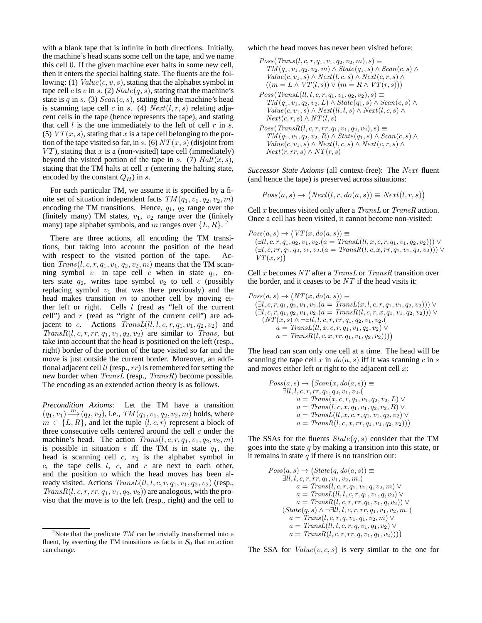with a blank tape that is infinite in both directions. Initially, the machine's head scans some cell on the tape, and we name this cell 0. If the given machine ever halts in some new cell, then it enters the special halting state. The fluents are the following: (1)  $Value(c, v, s)$ , stating that the alphabet symbol in tape cell c is v in s. (2)  $State(q, s)$ , stating that the machine's state is q in s. (3)  $Scan(c, s)$ , stating that the machine's head is scanning tape cell c in s. (4)  $Next(l, r, s)$  relating adjacent cells in the tape (hence represents the tape), and stating that cell  $l$  is the one immediately to the left of cell  $r$  in  $s$ . (5)  $VT(x, s)$ , stating that x is a tape cell belonging to the portion of the tape visited so far, in s. (6)  $NT(x, s)$  (disjoint from  $VT$ ), stating that x is a (non-visited) tape cell (immediately) beyond the visited portion of the tape in s. (7)  $Halt(x, s)$ , stating that the TM halts at cell  $x$  (entering the halting state, encoded by the constant  $Q_H$ ) in s.

For each particular TM, we assume it is specified by a finite set of situation independent facts  $TM(q_1, v_1, q_2, v_2, m)$ encoding the TM transitions. Hence,  $q_1$ ,  $q_2$  range over the (finitely many) TM states,  $v_1$ ,  $v_2$  range over the (finitely many) tape alphabet symbols, and m ranges over  $\{L, R\}$ . <sup>2</sup>

There are three actions, all encoding the TM transitions, but taking into account the position of the head with respect to the visited portion of the tape. Action  $Trans(l, c, r, q_1, v_1, q_2, v_2, m)$  means that the TM scanning symbol  $v_1$  in tape cell c when in state  $q_1$ , enters state  $q_2$ , writes tape symbol  $v_2$  to cell c (possibly replacing symbol  $v_1$  that was there previously) and the head makes transition  $m$  to another cell by moving either left or right. Cells  $l$  (read as "left of the current cell") and  $r$  (read as "right of the current cell") are adjacent to c. Actions  $TransL(1, l, c, r, q_1, v_1, q_2, v_2)$  and  $TransR(l, c, r, rr, q<sub>1</sub>, v<sub>1</sub>, q<sub>2</sub>, v<sub>2</sub>)$  are similar to *Trans*, but take into account that the head is positioned on the left (resp., right) border of the portion of the tape visited so far and the move is just outside the current border. Moreover, an additional adjacent cell  $ll$  (resp.,  $rr$ ) is remembered for setting the new border when TransL (resp., TransR) become possible. The encoding as an extended action theory is as follows.

*Precondition Axioms*: Let the TM have a transition  $(q_1, v_1) \xrightarrow{m} (q_2, v_2)$ , i.e.,  $TM(q_1, v_1, q_2, v_2, m)$  holds, where  $m \in \{L, R\}$ , and let the tuple  $\langle l, c, r \rangle$  represent a block of three consecutive cells centered around the cell  $c$  under the machine's head. The action  $Trans(l, c, r, q_1, v_1, q_2, v_2, m)$ is possible in situation  $s$  iff the TM is in state  $q_1$ , the head is scanning cell  $c$ ,  $v_1$  is the alphabet symbol in  $c$ , the tape cells  $l$ ,  $c$ , and  $r$  are next to each other, and the position to which the head moves has been already visited. Actions  $TransL(l, l, c, r, q_1, v_1, q_2, v_2)$  (resp.,  $TransR(l, c, r, rr, q<sub>1</sub>, v<sub>1</sub>, q<sub>2</sub>, v<sub>2</sub>)$  are analogous, with the proviso that the move is to the left (resp., right) and the cell to which the head moves has never been visited before:

```
Poss(Trans(l, c, r, q_1, v_1, q_2, v_2, m), s) \equivTM(q_1, v_1, q_2, v_2, m) \wedge State(q_1, s) \wedge Scan(c, s) \wedgeValue(c, v_1, s) \wedge Next(l, c, s) \wedge Next(c, r, s) \wedge((m = L \wedge VT(l, s)) \vee (m = R \wedge VT(r, s)))Poss(TransL(l, l, c, r, q_1, v_1, q_2, v_2), s) \equivTM(q_1, v_1, q_2, v_2, L) \wedge State(q_1, s) \wedge Scan(c, s) \wedgeValue(c, v_1, s) \wedge Next(l, l, s) \wedge Next(l, c, s) \wedgeNext(c, r, s) \wedge NT(l, s)Poss(TransR(l, c, r, rr, q_1, v_1, q_2, v_2), s) \equivTM(q_1, v_1, q_2, v_2, R) \wedge State(q_1, s) \wedge Scan(c, s) \wedgeValue(c, v_1, s) \wedge Next(l, c, s) \wedge Next(c, r, s) \wedgeNext(r, rr, s) \wedge NT(r, s)
```
*Successor State Axioms* (all context-free): The Next fluent (and hence the tape) is preserved across situations:

$$
Poss(a, s) \rightarrow (Next(l, r, do(a, s)) \equiv Next(l, r, s))
$$

Cell x becomes visited only after a TransL or TransR action. Once a cell has been visited, it cannot become non-visited:

$$
Poss(a, s) \rightarrow (VT(x, do(a, s)) \equiv (\exists ll, c, r, q_1, q_2, v_1, v_2.(a = TransL(ll, x, c, r, q_1, v_1, q_2, v_2))) \vee (\exists l, c, rr, q_1, q_2, v_1, v_2.(a = TransR(l, c, x, rr, q_1, v_1, q_2, v_2))) \vee VT(x, s)
$$

Cell x becomes  $NT$  after a TransL or TransR transition over the border, and it ceases to be  $NT$  if the head visits it:

$$
Poss(a, s) \rightarrow (NT(x, do(a, s)) \equiv
$$
  
\n
$$
(\exists l, c, r, q_1, q_2, v_1, v_2.(a = TransL(x, l, c, r, q_1, v_1, q_2, v_2))) \vee
$$
  
\n
$$
(\exists l, c, r, q_1, q_2, v_1, v_2.(a = TransR(l, c, r, x, q_1, v_1, q_2, v_2))) \vee
$$
  
\n
$$
(NT(x, s) \wedge \neg \exists ll, l, c, r, rr, q_1, q_2, v_1, v_2.(a = TransL(ll, x, c, r, q_1, v_1, q_2, v_2)) \vee
$$
  
\n
$$
a = TransR(l, c, x, rr, q_1, v_1, q_2, v_2))))
$$

The head can scan only one cell at a time. The head will be scanning the tape cell x in  $do(a, s)$  iff it was scanning c in s and moves either left or right to the adjacent cell  $x$ :

$$
Poss(a, s) \rightarrow (Scan(x, do(a, s)) \equiv
$$
  
\n
$$
\exists ll, l, c, r, rr, q_1, q_2, v_1, v_2.(
$$
  
\n
$$
a = Trans(x, c, r, q_1, v_1, q_2, v_2, L) \vee
$$
  
\n
$$
a = Trans(l, c, x, q_1, v_1, q_2, v_2, R) \vee
$$
  
\n
$$
a = TransL(l, x, c, r, q_1, v_1, q_2, v_2) \vee
$$
  
\n
$$
a = TransR(l, c, x, rr, q_1, v_1, q_2, v_2)))
$$

The SSAs for the fluents  $State(q, s)$  consider that the TM goes into the state  $q$  by making a transition into this state, or it remains in state  $q$  if there is no transition out:

$$
Poss(a, s) \rightarrow (State(q, do(a, s)) \equiv
$$
  
\n
$$
\exists ll, l, c, r, rr, q_1, v_1, v_2, m.
$$
  
\n
$$
a = Trans(l, c, r, q_1, v_1, q, v_2, m) \vee
$$
  
\n
$$
a = TransL(l, l, c, r, q_1, v_1, q, v_2) \vee
$$
  
\n
$$
a = TransR(l, c, r, rr, q_1, v_1, q, v_2)) \vee
$$
  
\n
$$
(State(q, s) \wedge \neg \exists ll, l, c, r, rr, q_1, v_1, v_2, m.
$$
  
\n
$$
a = Trans(l, c, r, q, v_1, q_1, v_2, m) \vee
$$
  
\n
$$
a = TransL(l, l, c, r, q, v_1, q_1, v_2))
$$
  
\n
$$
a = TransR(l, c, r, rr, q, v_1, q_1, v_2))
$$

The SSA for  $Value(v, c, s)$  is very similar to the one for

<sup>&</sup>lt;sup>2</sup>Note that the predicate  $TM$  can be trivially transformed into a fluent, by asserting the TM transitions as facts in  $S_0$  that no action can change.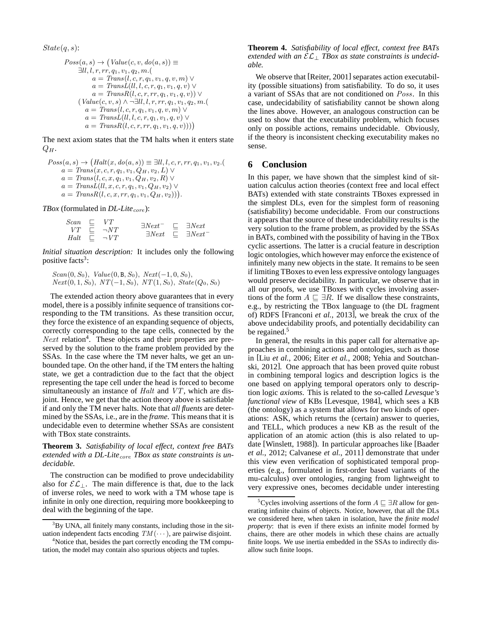$State(q, s)$ :

$$
Poss(a, s) \rightarrow (Value(c, v, do(a, s)) \equiv
$$
  
\n
$$
\exists ll, l, r, rr, q_1, v_1, q_2, m. (\na = Trans(l, c, r, q_1, v_1, q, v, m) \vee
$$
  
\na = TransL(l, l, c, r, q\_1, v\_1, q, v) \vee  
\na = TransR(l, c, r, rr, q\_1, v\_1, q, v)) \vee  
\n
$$
(Value(c, v, s) \wedge \neg \exists ll, l, r, rr, q_1, v_1, q_2, m. (\na = Trans(l, c, r, q_1, v_1, q, v, m) \vee
$$
  
\na = TransL(l, l, c, r, q\_1, v\_1, q, v) \vee  
\na = TransR(l, c, r, rr, q\_1, v\_1, q, v))))

The next axiom states that the TM halts when it enters state  $Q_H$ .

$$
Poss(a, s) \rightarrow (Halt(x, do(a, s)) \equiv \exists ll, l, c, r, rr, q_1, v_1, v_2.(
$$
  
\n
$$
a = Trans(x, c, r, q_1, v_1, Q_H, v_2, L) \vee
$$
  
\n
$$
a = Trans(l, c, x, q_1, v_1, Q_H, v_2, R) \vee
$$
  
\n
$$
a = TransL(l, x, c, r, q_1, v_1, Q_H, v_2) \vee
$$
  
\n
$$
a = TransR(l, c, x, rr, q_1, v_1, Q_H, v_2))).
$$

*TBox* (formulated in *DL-Lite<sub>core</sub>*):

| Scan<br>VT. | -⊑. | VT<br>$\Box$ $\neg NT$ | $\exists Next^-$<br>$\exists Next$ | $\Box$ $\exists Next$<br>$\Box$ $\exists Next^{-}$ |
|-------------|-----|------------------------|------------------------------------|----------------------------------------------------|
| Halt        |     | $\Box \neg VT$         |                                    |                                                    |

*Initial situation description:* It includes only the following positive facts<sup>3</sup>:

 $Scan(0, S_0), Value(0, B, S_0), Next(-1, 0, S_0),$  $Next(0, 1, S_0), \, NT(-1, S_0), \, NT(1, S_0), \, State(Q_0, S_0)$ 

The extended action theory above guarantees that in every model, there is a possibly infinite sequence of transitions corresponding to the TM transitions. As these transition occur, they force the existence of an expanding sequence of objects, correctly corresponding to the tape cells, connected by the Next relation<sup>4</sup>. These objects and their properties are preserved by the solution to the frame problem provided by the SSAs. In the case where the TM never halts, we get an unbounded tape. On the other hand, if the TM enters the halting state, we get a contradiction due to the fact that the object representing the tape cell under the head is forced to become simultaneously an instance of *Halt* and *VT*, which are disjoint. Hence, we get that the action theory above is satisfiable if and only the TM never halts. Note that *all fluents* are determined by the SSAs, i.e., are in the *frame*. This means that it is undecidable even to determine whether SSAs are consistent with TBox state constraints.

**Theorem 3.** *Satisfiability of local effect, context free BATs* extended with a DL-Lite<sub>core</sub> TBox as state constraints is un*decidable.*

The construction can be modified to prove undecidability also for  $\mathcal{EL}_\perp$ . The main difference is that, due to the lack of inverse roles, we need to work with a TM whose tape is infinite in only one direction, requiring more bookkeeping to deal with the beginning of the tape.

**Theorem 4.** *Satisfiability of local effect, context free BATs extended with an* EL<sup>⊥</sup> *TBox as state constraints is undecidable.*

We observe that [Reiter, 2001] separates action executability (possible situations) from satisfiability. To do so, it uses a variant of SSAs that are not conditioned on Poss. In this case, undecidability of satisfiability cannot be shown along the lines above. However, an analogous construction can be used to show that the executability problem, which focuses only on possible actions, remains undecidable. Obviously, if the theory is inconsistent checking executability makes no sense.

#### **6 Conclusion**

In this paper, we have shown that the simplest kind of situation calculus action theories (context free and local effect BATs) extended with state constraints TBoxes expressed in the simplest DLs, even for the simplest form of reasoning (satisfiability) become undecidable. From our constructions it appears that the source of these undecidability results is the very solution to the frame problem, as provided by the SSAs in BATs, combined with the possibility of having in the TBox cyclic assertions. The latter is a crucial feature in description logic ontologies, which however may enforce the existence of infinitely many new objects in the state. It remains to be seen if limiting TBoxes to even less expressive ontology languages would preserve decidability. In particular, we observe that in all our proofs, we use TBoxes with cycles involving assertions of the form  $A \subseteq \exists R$ . If we disallow these constraints, e.g., by restricting the TBox language to (the DL fragment of) RDFS [Franconi *et al.*, 2013], we break the crux of the above undecidability proofs, and potentially decidability can be regained.<sup>5</sup>

In general, the results in this paper call for alternative approaches in combining actions and ontologies, such as those in [Liu *et al.*, 2006; Eiter *et al.*, 2008; Yehia and Soutchanski, 2012]. One approach that has been proved quite robust in combining temporal logics and description logics is the one based on applying temporal operators only to description logic *axioms*. This is related to the so-called *Levesque's functional view* of KBs [Levesque, 1984], which sees a KB (the ontology) as a system that allows for two kinds of operations: ASK, which returns the (certain) answer to queries, and TELL, which produces a new KB as the result of the application of an atomic action (this is also related to update [Winslett, 1988]). In particular approaches like [Baader *et al.*, 2012; Calvanese *et al.*, 2011] demonstrate that under this view even verification of sophisticated temporal properties (e.g., formulated in first-order based variants of the mu-calculus) over ontologies, ranging from lightweight to very expressive ones, becomes decidable under interesting

 $3By$  UNA, all finitely many constants, including those in the situation independent facts encoding  $TM(\cdots)$ , are pairwise disjoint.

<sup>&</sup>lt;sup>4</sup>Notice that, besides the part correctly encoding the TM computation, the model may contain also spurious objects and tuples.

<sup>&</sup>lt;sup>5</sup>Cycles involving assertions of the form  $A \sqsubseteq \exists R$  allow for generating infinite chains of objects. Notice, however, that all the DLs we considered here, when taken in isolation, have the *finite model property*: that is even if there exists an infinite model formed by chains, there are other models in which these chains are actually finite loops. We use inertia embedded in the SSAs to indirectly disallow such finite loops.